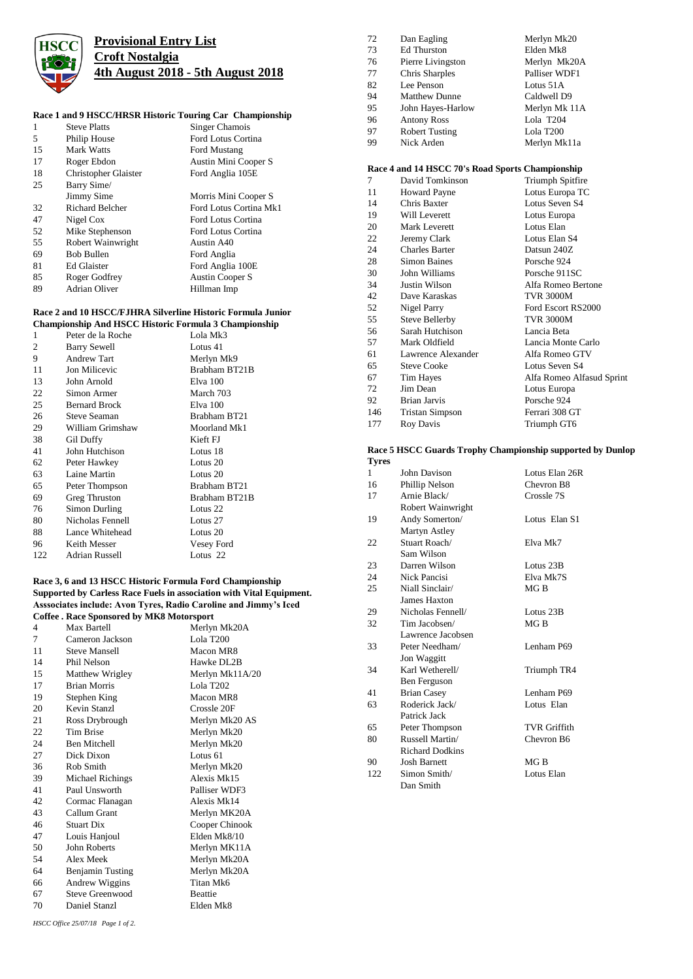

## **Provisional Entry List Croft Nostalgia 4th August 2018 - 5th August 2018**

## **Race 1 and 9 HSCC/HRSR Historic Touring Car Championship**

| 1  | <b>Steve Platts</b>    | Singer Chamois         |
|----|------------------------|------------------------|
| 5  | Philip House           | Ford Lotus Cortina     |
| 15 | Mark Watts             | Ford Mustang           |
| 17 | Roger Ebdon            | Austin Mini Cooper S   |
| 18 | Christopher Glaister   | Ford Anglia 105E       |
| 25 | Barry Sime/            |                        |
|    | Jimmy Sime             | Morris Mini Cooper S   |
| 32 | <b>Richard Belcher</b> | Ford Lotus Cortina Mk1 |
| 47 | Nigel Cox              | Ford Lotus Cortina     |
| 52 | Mike Stephenson        | Ford Lotus Cortina     |
| 55 | Robert Wainwright      | Austin A40             |
| 69 | <b>Bob Bullen</b>      | Ford Anglia            |
| 81 | Ed Glaister            | Ford Anglia 100E       |
| 85 | Roger Godfrey          | Austin Cooper S        |
| 89 | Adrian Oliver          | Hillman Imp            |
|    |                        |                        |

## **Race 2 and 10 HSCC/FJHRA Silverline Historic Formula Junior**

| <b>Championship And HSCC Historic Formula 3 Championship</b> |                      |               |  |
|--------------------------------------------------------------|----------------------|---------------|--|
| 1                                                            | Peter de la Roche    | Lola Mk3      |  |
| 2                                                            | <b>Barry Sewell</b>  | Lotus 41      |  |
| 9                                                            | <b>Andrew Tart</b>   | Merlyn Mk9    |  |
| 11                                                           | Jon Milicevic        | Brabham BT21B |  |
| 13                                                           | John Arnold          | Elva 100      |  |
| 22                                                           | Simon Armer          | March 703     |  |
| 25                                                           | <b>Bernard Brock</b> | Elva 100      |  |
| 26                                                           | Steve Seaman         | Brabham BT21  |  |
| 29                                                           | William Grimshaw     | Moorland Mk1  |  |
| 38                                                           | Gil Duffy            | Kieft FJ      |  |
| 41                                                           | John Hutchison       | Lotus 18      |  |
| 62                                                           | Peter Hawkey         | Lotus 20      |  |
| 63                                                           | Laine Martin         | Lotus 20      |  |
| 65                                                           | Peter Thompson       | Brabham BT21  |  |
| 69                                                           | Greg Thruston        | Brabham BT21B |  |
| 76                                                           | Simon Durling        | Lotus 22      |  |
| 80                                                           | Nicholas Fennell     | Lotus 27      |  |
| 88                                                           | Lance Whitehead      | Lotus 20      |  |
| 96                                                           | Keith Messer         | Vesey Ford    |  |
| 122                                                          | Adrian Russell       | Lotus 22      |  |

### **Race 3, 6 and 13 HSCC Historic Formula Ford Championship Supported by Carless Race Fuels in association with Vital Equipment. Asssociates include: Avon Tyres, Radio Caroline and Jimmy's Iced Coffee . Race Sponsored by MK8 Motorsport**

| CONCE : INACE SPONSOT CU DY INTRO INTONESPOLE |                         |                 |  |
|-----------------------------------------------|-------------------------|-----------------|--|
| $\overline{4}$                                | Max Bartell             | Merlyn Mk20A    |  |
| 7                                             | Cameron Jackson         | Lola T200       |  |
| 11                                            | <b>Steve Mansell</b>    | Macon MR8       |  |
| 14                                            | Phil Nelson             | Hawke DL2B      |  |
| 15                                            | Matthew Wrigley         | Merlyn Mk11A/20 |  |
| 17                                            | <b>Brian Morris</b>     | Lola T202       |  |
| 19                                            | Stephen King            | Macon MR8       |  |
| 20                                            | Kevin Stanzl            | Crossle 20F     |  |
| 21                                            | Ross Drybrough          | Merlyn Mk20 AS  |  |
| 22                                            | Tim Brise               | Merlyn Mk20     |  |
| 24                                            | <b>Ben Mitchell</b>     | Merlyn Mk20     |  |
| 27                                            | Dick Dixon              | Lotus 61        |  |
| 36                                            | Rob Smith               | Merlyn Mk20     |  |
| 39                                            | Michael Richings        | Alexis Mk15     |  |
| 41                                            | Paul Unsworth           | Palliser WDF3   |  |
| 42                                            | Cormac Flanagan         | Alexis Mk14     |  |
| 43                                            | Callum Grant            | Merlyn MK20A    |  |
| 46                                            | <b>Stuart Dix</b>       | Cooper Chinook  |  |
| 47                                            | Louis Hanjoul           | Elden Mk8/10    |  |
| 50                                            | John Roberts            | Merlyn MK11A    |  |
| 54                                            | Alex Meek               | Merlyn Mk20A    |  |
| 64                                            | <b>Benjamin Tusting</b> | Merlyn Mk20A    |  |
| 66                                            | Andrew Wiggins          | Titan Mk6       |  |
| 67                                            | Steve Greenwood         | <b>Beattie</b>  |  |
| 70                                            | Daniel Stanzl           | Elden Mk8       |  |
|                                               |                         |                 |  |

## **Race 4 and 14 HSCC 70's Road Sports Championship**

| 7   | David Tomkinson       | Triumph Spitfire          |
|-----|-----------------------|---------------------------|
| 11  | <b>Howard Payne</b>   | Lotus Europa TC           |
| 14  | Chris Baxter          | Lotus Seven S4            |
| 19  | Will Leverett         | Lotus Europa              |
| 20  | <b>Mark Leverett</b>  | Lotus Elan                |
| 22  | Jeremy Clark          | Lotus Elan S4             |
| 24  | <b>Charles Barter</b> | Datsun 240Z               |
| 28  | <b>Simon Baines</b>   | Porsche 924               |
| 30  | John Williams         | Porsche 911SC             |
| 34  | Justin Wilson         | Alfa Romeo Bertone        |
| 42  | Dave Karaskas         | <b>TVR 3000M</b>          |
| 52  | Nigel Parry           | Ford Escort RS2000        |
| 55  | Steve Bellerby        | <b>TVR 3000M</b>          |
| 56  | Sarah Hutchison       | Lancia Beta               |
| 57  | Mark Oldfield         | Lancia Monte Carlo        |
| 61  | Lawrence Alexander    | Alfa Romeo GTV            |
| 65  | <b>Steve Cooke</b>    | Lotus Seven S4            |
| 67  | Tim Hayes             | Alfa Romeo Alfasud Sprint |
| 72  | Jim Dean              | Lotus Europa              |
| 92  | <b>Brian Jarvis</b>   | Porsche 924               |
| 146 | Tristan Simpson       | Ferrari 308 GT            |
| 177 | Roy Davis             | Triumph GT6               |
|     |                       |                           |

#### **Race 5 HSCC Guards Trophy Championship supported by Dunlop Tyres**

| т ут сэ |                        |                     |
|---------|------------------------|---------------------|
| 1       | John Davison           | Lotus Elan 26R      |
| 16      | Phillip Nelson         | Chevron B8          |
| 17      | Arnie Black/           | Crossle 7S          |
|         | Robert Wainwright      |                     |
| 19      | Andy Somerton/         | Lotus Elan S1       |
|         | <b>Martyn Astley</b>   |                     |
| 22      | Stuart Roach/          | Elva Mk7            |
|         | Sam Wilson             |                     |
| 23      | Darren Wilson          | Lotus 23B           |
| 24      | Nick Pancisi           | Elva Mk7S           |
| 25      | Niall Sinclair/        | MGB                 |
|         | James Haxton           |                     |
| 29      | Nicholas Fennell/      | Lotus 23B           |
| 32      | Tim Jacobsen/          | MGB                 |
|         | Lawrence Jacobsen      |                     |
| 33      | Peter Needham/         | Lenham P69          |
|         | Jon Waggitt            |                     |
| 34      | Karl Wetherell/        | Triumph TR4         |
|         | Ben Ferguson           |                     |
| 41      | <b>Brian Casey</b>     | Lenham P69          |
| 63      | Roderick Jack/         | Lotus Elan          |
|         | Patrick Jack           |                     |
| 65      | Peter Thompson         | <b>TVR Griffith</b> |
| 80      | Russell Martin/        | Chevron B6          |
|         | <b>Richard Dodkins</b> |                     |
| 90      | <b>Josh Barnett</b>    | MG B                |
| 122.    | Simon Smith/           | Lotus Elan          |
|         | Dan Smith              |                     |
|         |                        |                     |